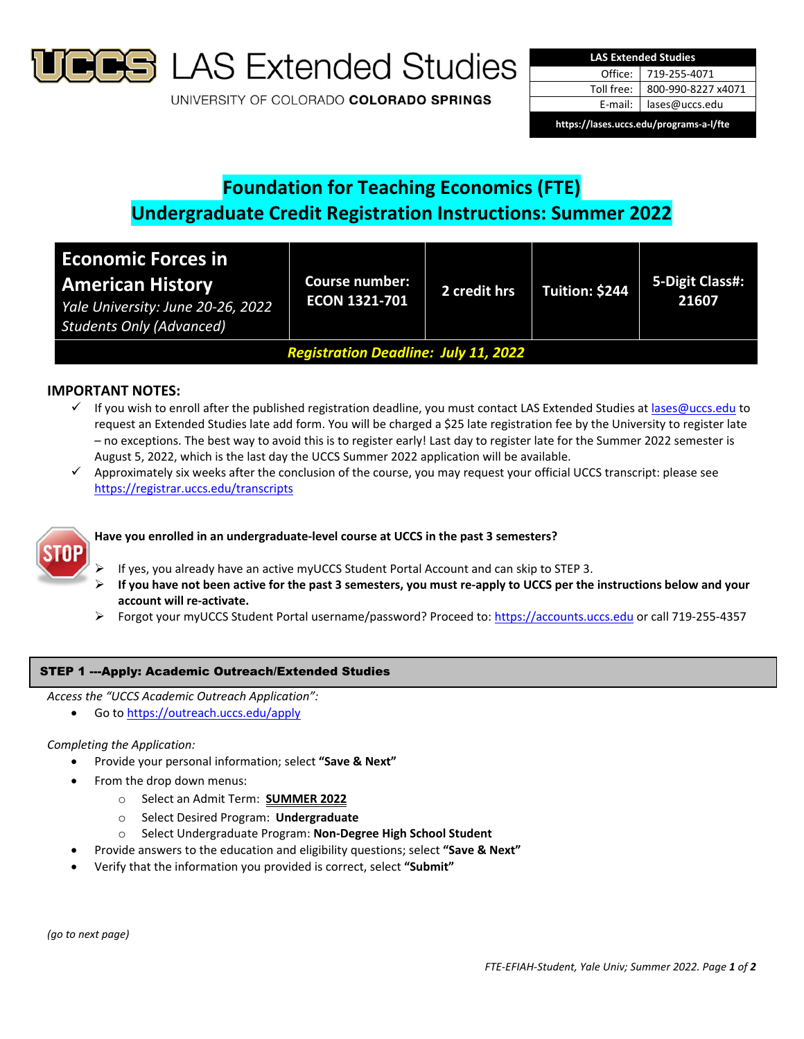

**B** LAS Extended Studies

UNIVERSITY OF COLORADO COLORADO SPRINGS

| <b>LAS Extended Studies</b>             |                    |  |  |  |
|-----------------------------------------|--------------------|--|--|--|
| Office:                                 | 719-255-4071       |  |  |  |
| Toll free:                              | 800-990-8227 x4071 |  |  |  |
| E-mail:                                 | lases@uccs.edu     |  |  |  |
| https://lases.uccs.edu/programs-a-l/fte |                    |  |  |  |

# **Foundation for Teaching Economics (FTE) Undergraduate Credit Registration Instructions: Summer 2022**

| <b>Economic Forces in</b><br><b>American History</b><br>Yale University: June 20-26, 2022<br><b>Students Only (Advanced)</b> | <b>Course number:</b><br><b>ECON 1321-701</b> | 2 credit hrs | Tuition: \$244 | 5-Digit Class#:<br>21607 |  |
|------------------------------------------------------------------------------------------------------------------------------|-----------------------------------------------|--------------|----------------|--------------------------|--|
| <b>Registration Deadline: July 11, 2022</b>                                                                                  |                                               |              |                |                          |  |

## **IMPORTANT NOTES:**

- √ If you wish to enroll after the published registration deadline, you must contact LAS Extended Studies at lases@uccs.edu to request an Extended Studies late add form. You will be charged a \$25 late registration fee by the University to register late – no exceptions. The best way to avoid this is to register early! Last day to register late for the Summer 2022 semester is August 5, 2022, which is the last day the UCCS Summer 2022 application will be available.
- $\checkmark$  Approximately six weeks after the conclusion of the course, you may request your official UCCS transcript: please see https://registrar.uccs.edu/transcripts



# **Have you enrolled in an undergraduate‐level course at UCCS in the past 3 semesters?**

- If yes, you already have an active myUCCS Student Portal Account and can skip to STEP 3.
- If you have not been active for the past 3 semesters, you must re-apply to UCCS per the instructions below and your **account will re‐activate.**
- Forgot your myUCCS Student Portal username/password? Proceed to: https://accounts.uccs.edu or call 719‐255‐4357

### STEP 1 ---Apply: Academic Outreach/Extended Studies

*Access the "UCCS Academic Outreach Application":*

Go to https://outreach.uccs.edu/apply

### *Completing the Application:*

- Provide your personal information; select **"Save & Next"**
- From the drop down menus:
	- o Select an Admit Term: **SUMMER 2022**
	- o Select Desired Program: **Undergraduate**
	- o Select Undergraduate Program: **Non‐Degree High School Student**
- Provide answers to the education and eligibility questions; select **"Save & Next"**
- Verify that the information you provided is correct, select **"Submit"**

*(go to next page)*